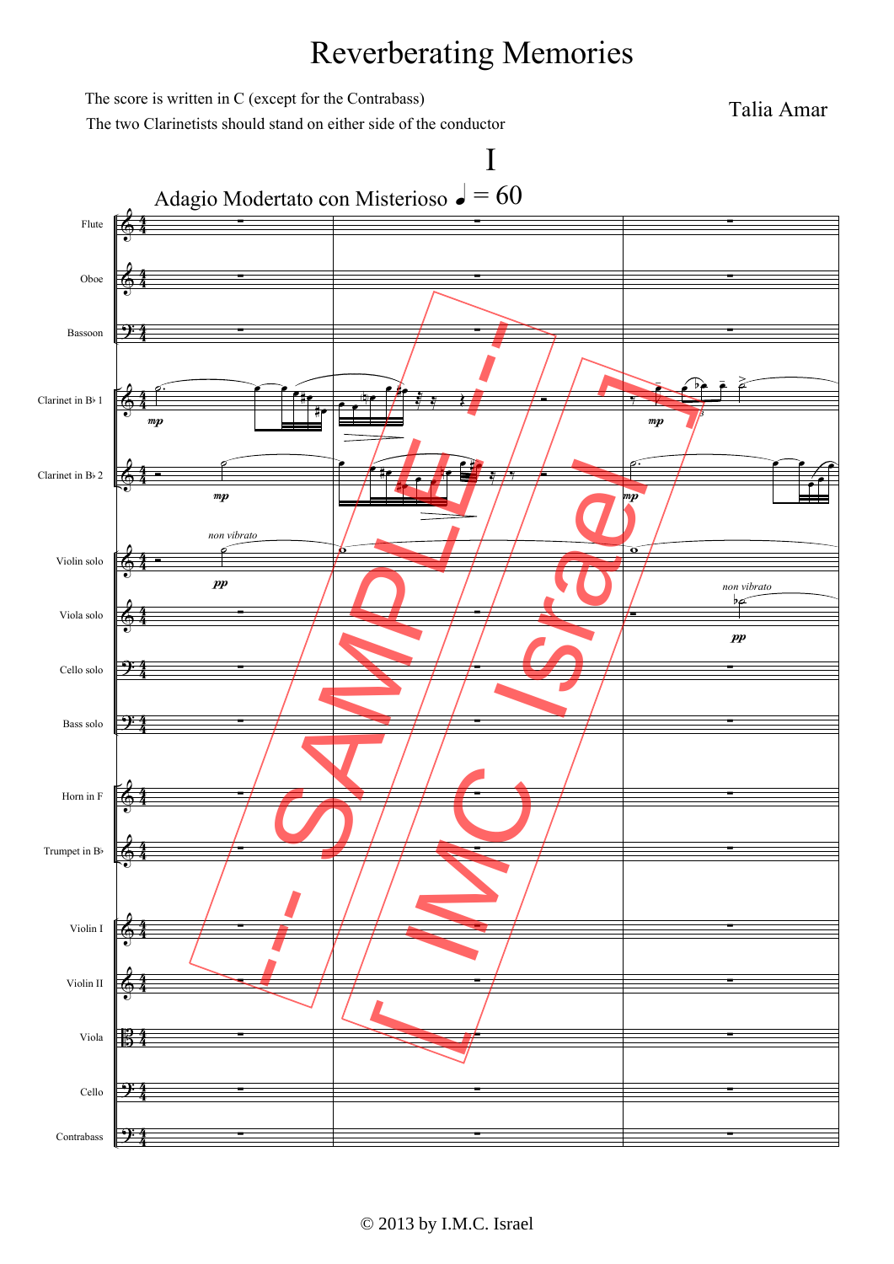## Reverberating Memories

The score is written in C (except for the Contrabass)

The two Clarinetists should stand on either side of the conductor

Talia Amar

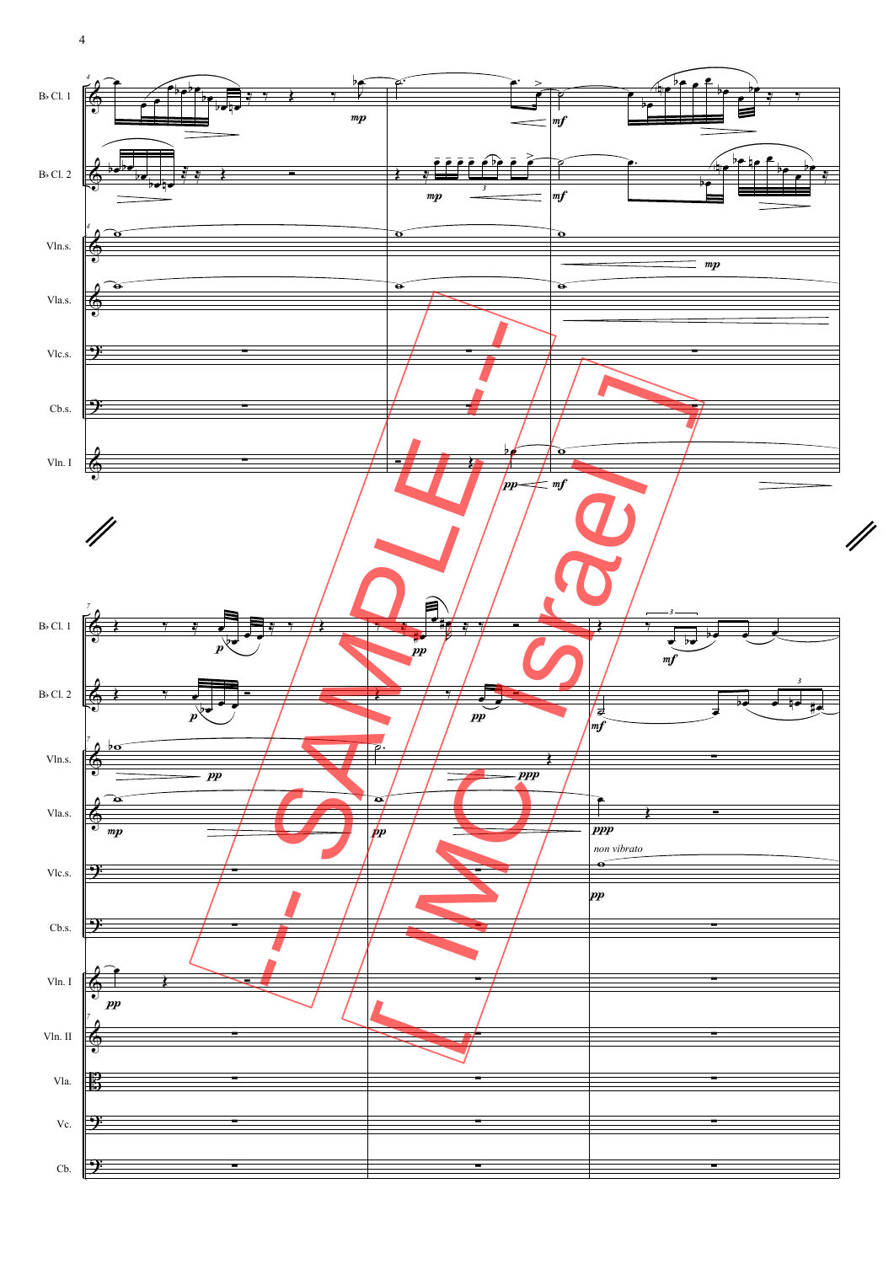